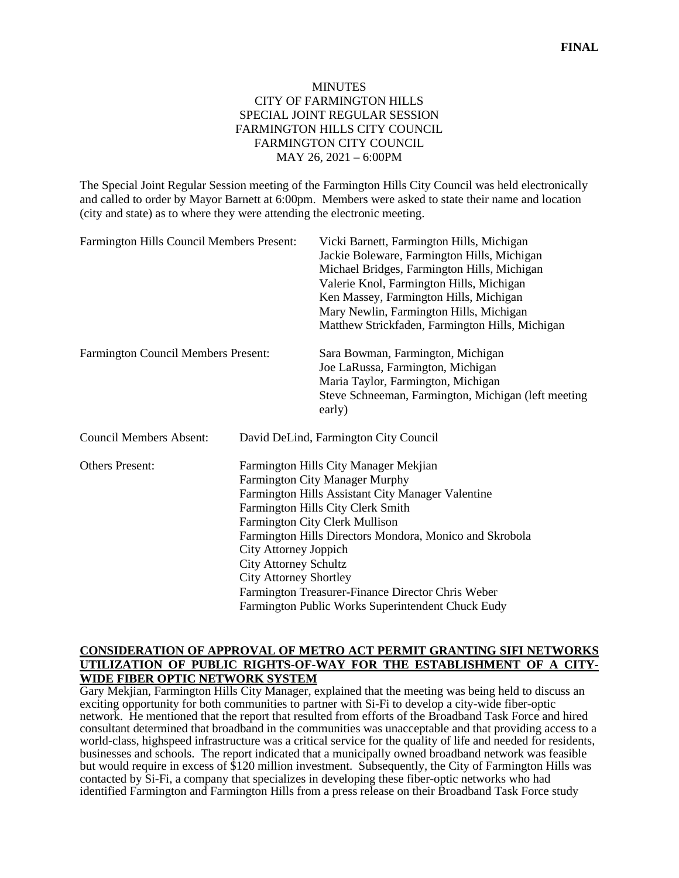# MINUTES CITY OF FARMINGTON HILLS SPECIAL JOINT REGULAR SESSION FARMINGTON HILLS CITY COUNCIL FARMINGTON CITY COUNCIL MAY 26, 2021 – 6:00PM

The Special Joint Regular Session meeting of the Farmington Hills City Council was held electronically and called to order by Mayor Barnett at 6:00pm. Members were asked to state their name and location (city and state) as to where they were attending the electronic meeting.

| Farmington Hills Council Members Present:  |                                                                                                                                                                                                                                                                                                                                                                                                                                                                           | Vicki Barnett, Farmington Hills, Michigan<br>Jackie Boleware, Farmington Hills, Michigan<br>Michael Bridges, Farmington Hills, Michigan<br>Valerie Knol, Farmington Hills, Michigan<br>Ken Massey, Farmington Hills, Michigan<br>Mary Newlin, Farmington Hills, Michigan<br>Matthew Strickfaden, Farmington Hills, Michigan |
|--------------------------------------------|---------------------------------------------------------------------------------------------------------------------------------------------------------------------------------------------------------------------------------------------------------------------------------------------------------------------------------------------------------------------------------------------------------------------------------------------------------------------------|-----------------------------------------------------------------------------------------------------------------------------------------------------------------------------------------------------------------------------------------------------------------------------------------------------------------------------|
| <b>Farmington Council Members Present:</b> |                                                                                                                                                                                                                                                                                                                                                                                                                                                                           | Sara Bowman, Farmington, Michigan<br>Joe LaRussa, Farmington, Michigan<br>Maria Taylor, Farmington, Michigan<br>Steve Schneeman, Farmington, Michigan (left meeting<br>early)                                                                                                                                               |
| <b>Council Members Absent:</b>             |                                                                                                                                                                                                                                                                                                                                                                                                                                                                           | David DeLind, Farmington City Council                                                                                                                                                                                                                                                                                       |
| <b>Others Present:</b>                     | Farmington Hills City Manager Mekjian<br>Farmington City Manager Murphy<br>Farmington Hills Assistant City Manager Valentine<br>Farmington Hills City Clerk Smith<br>Farmington City Clerk Mullison<br>Farmington Hills Directors Mondora, Monico and Skrobola<br><b>City Attorney Joppich</b><br><b>City Attorney Schultz</b><br><b>City Attorney Shortley</b><br>Farmington Treasurer-Finance Director Chris Weber<br>Farmington Public Works Superintendent Chuck Eudy |                                                                                                                                                                                                                                                                                                                             |

## **CONSIDERATION OF APPROVAL OF METRO ACT PERMIT GRANTING SIFI NETWORKS UTILIZATION OF PUBLIC RIGHTS-OF-WAY FOR THE ESTABLISHMENT OF A CITY-WIDE FIBER OPTIC NETWORK SYSTEM**

Gary Mekjian, Farmington Hills City Manager, explained that the meeting was being held to discuss an exciting opportunity for both communities to partner with Si-Fi to develop a city-wide fiber-optic network. He mentioned that the report that resulted from efforts of the Broadband Task Force and hired consultant determined that broadband in the communities was unacceptable and that providing access to a world-class, highspeed infrastructure was a critical service for the quality of life and needed for residents, businesses and schools. The report indicated that a municipally owned broadband network was feasible but would require in excess of \$120 million investment. Subsequently, the City of Farmington Hills was contacted by Si-Fi, a company that specializes in developing these fiber-optic networks who had identified Farmington and Farmington Hills from a press release on their Broadband Task Force study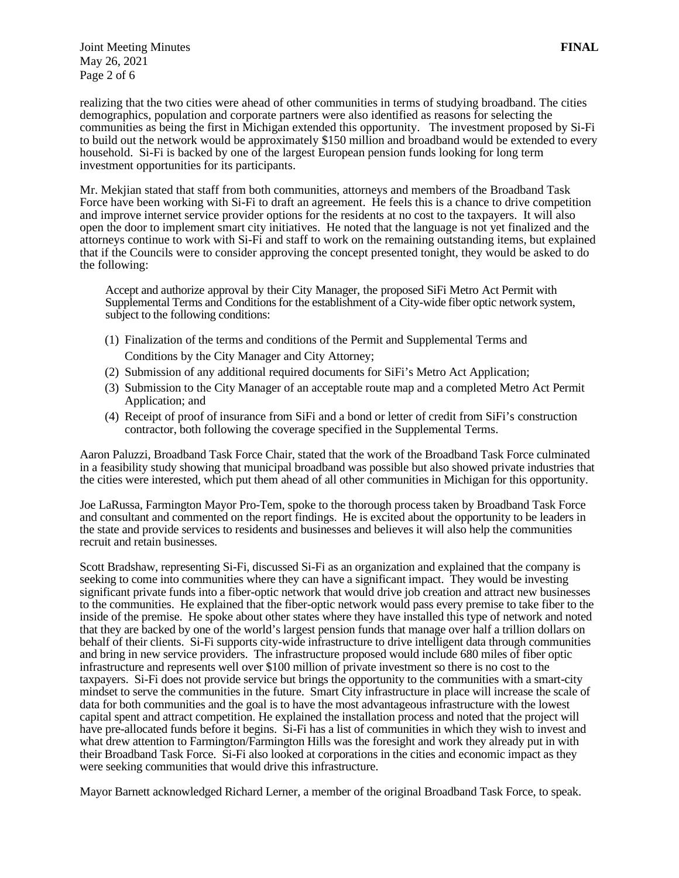Joint Meeting Minutes **FINAL** May 26, 2021 Page 2 of 6

realizing that the two cities were ahead of other communities in terms of studying broadband. The cities demographics, population and corporate partners were also identified as reasons for selecting the communities as being the first in Michigan extended this opportunity. The investment proposed by Si-Fi to build out the network would be approximately \$150 million and broadband would be extended to every household. Si-Fi is backed by one of the largest European pension funds looking for long term investment opportunities for its participants.

Mr. Mekjian stated that staff from both communities, attorneys and members of the Broadband Task Force have been working with Si-Fi to draft an agreement. He feels this is a chance to drive competition and improve internet service provider options for the residents at no cost to the taxpayers. It will also open the door to implement smart city initiatives. He noted that the language is not yet finalized and the attorneys continue to work with Si-Fi and staff to work on the remaining outstanding items, but explained that if the Councils were to consider approving the concept presented tonight, they would be asked to do the following:

Accept and authorize approval by their City Manager, the proposed SiFi Metro Act Permit with Supplemental Terms and Conditions for the establishment of a City-wide fiber optic network system, subject to the following conditions:

- (1) Finalization of the terms and conditions of the Permit and Supplemental Terms and Conditions by the City Manager and City Attorney;
- (2) Submission of any additional required documents for SiFi's Metro Act Application;
- (3) Submission to the City Manager of an acceptable route map and a completed Metro Act Permit Application; and
- (4) Receipt of proof of insurance from SiFi and a bond or letter of credit from SiFi's construction contractor, both following the coverage specified in the Supplemental Terms.

Aaron Paluzzi, Broadband Task Force Chair, stated that the work of the Broadband Task Force culminated in a feasibility study showing that municipal broadband was possible but also showed private industries that the cities were interested, which put them ahead of all other communities in Michigan for this opportunity.

Joe LaRussa, Farmington Mayor Pro-Tem, spoke to the thorough process taken by Broadband Task Force and consultant and commented on the report findings. He is excited about the opportunity to be leaders in the state and provide services to residents and businesses and believes it will also help the communities recruit and retain businesses.

Scott Bradshaw, representing Si-Fi, discussed Si-Fi as an organization and explained that the company is seeking to come into communities where they can have a significant impact. They would be investing significant private funds into a fiber-optic network that would drive job creation and attract new businesses to the communities. He explained that the fiber-optic network would pass every premise to take fiber to the inside of the premise. He spoke about other states where they have installed this type of network and noted that they are backed by one of the world's largest pension funds that manage over half a trillion dollars on behalf of their clients. Si-Fi supports city-wide infrastructure to drive intelligent data through communities and bring in new service providers. The infrastructure proposed would include 680 miles of fiber optic infrastructure and represents well over \$100 million of private investment so there is no cost to the taxpayers. Si-Fi does not provide service but brings the opportunity to the communities with a smart-city mindset to serve the communities in the future. Smart City infrastructure in place will increase the scale of data for both communities and the goal is to have the most advantageous infrastructure with the lowest capital spent and attract competition. He explained the installation process and noted that the project will have pre-allocated funds before it begins. Si-Fi has a list of communities in which they wish to invest and what drew attention to Farmington/Farmington Hills was the foresight and work they already put in with their Broadband Task Force. Si-Fi also looked at corporations in the cities and economic impact as they were seeking communities that would drive this infrastructure.

Mayor Barnett acknowledged Richard Lerner, a member of the original Broadband Task Force, to speak.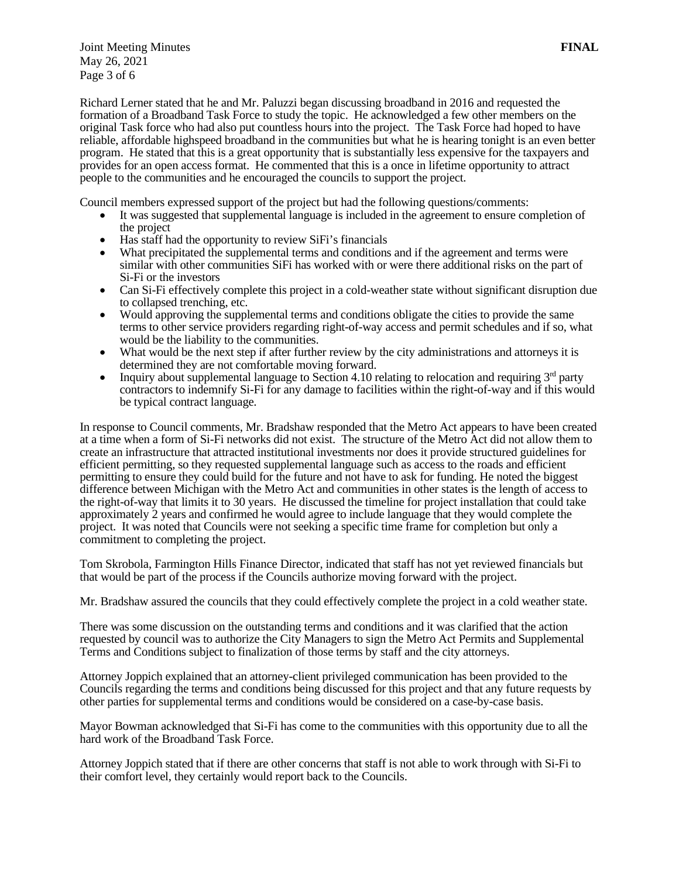Joint Meeting Minutes **FINAL** May 26, 2021 Page 3 of 6

Richard Lerner stated that he and Mr. Paluzzi began discussing broadband in 2016 and requested the formation of a Broadband Task Force to study the topic. He acknowledged a few other members on the original Task force who had also put countless hours into the project. The Task Force had hoped to have reliable, affordable highspeed broadband in the communities but what he is hearing tonight is an even better program. He stated that this is a great opportunity that is substantially less expensive for the taxpayers and provides for an open access format. He commented that this is a once in lifetime opportunity to attract people to the communities and he encouraged the councils to support the project.

Council members expressed support of the project but had the following questions/comments:

- It was suggested that supplemental language is included in the agreement to ensure completion of the project
- Has staff had the opportunity to review SiFi's financials
- What precipitated the supplemental terms and conditions and if the agreement and terms were similar with other communities SiFi has worked with or were there additional risks on the part of Si-Fi or the investors
- Can Si-Fi effectively complete this project in a cold-weather state without significant disruption due to collapsed trenching, etc.
- Would approving the supplemental terms and conditions obligate the cities to provide the same terms to other service providers regarding right-of-way access and permit schedules and if so, what would be the liability to the communities.
- What would be the next step if after further review by the city administrations and attorneys it is determined they are not comfortable moving forward.
- Inquiry about supplemental language to Section 4.10 relating to relocation and requiring  $3<sup>rd</sup>$  party contractors to indemnify Si-Fi for any damage to facilities within the right-of-way and if this would be typical contract language.

In response to Council comments, Mr. Bradshaw responded that the Metro Act appears to have been created at a time when a form of Si-Fi networks did not exist. The structure of the Metro Act did not allow them to create an infrastructure that attracted institutional investments nor does it provide structured guidelines for efficient permitting, so they requested supplemental language such as access to the roads and efficient permitting to ensure they could build for the future and not have to ask for funding. He noted the biggest difference between Michigan with the Metro Act and communities in other states is the length of access to the right-of-way that limits it to 30 years. He discussed the timeline for project installation that could take approximately 2 years and confirmed he would agree to include language that they would complete the project. It was noted that Councils were not seeking a specific time frame for completion but only a commitment to completing the project.

Tom Skrobola, Farmington Hills Finance Director, indicated that staff has not yet reviewed financials but that would be part of the process if the Councils authorize moving forward with the project.

Mr. Bradshaw assured the councils that they could effectively complete the project in a cold weather state.

There was some discussion on the outstanding terms and conditions and it was clarified that the action requested by council was to authorize the City Managers to sign the Metro Act Permits and Supplemental Terms and Conditions subject to finalization of those terms by staff and the city attorneys.

Attorney Joppich explained that an attorney-client privileged communication has been provided to the Councils regarding the terms and conditions being discussed for this project and that any future requests by other parties for supplemental terms and conditions would be considered on a case-by-case basis.

Mayor Bowman acknowledged that Si-Fi has come to the communities with this opportunity due to all the hard work of the Broadband Task Force.

Attorney Joppich stated that if there are other concerns that staff is not able to work through with Si-Fi to their comfort level, they certainly would report back to the Councils.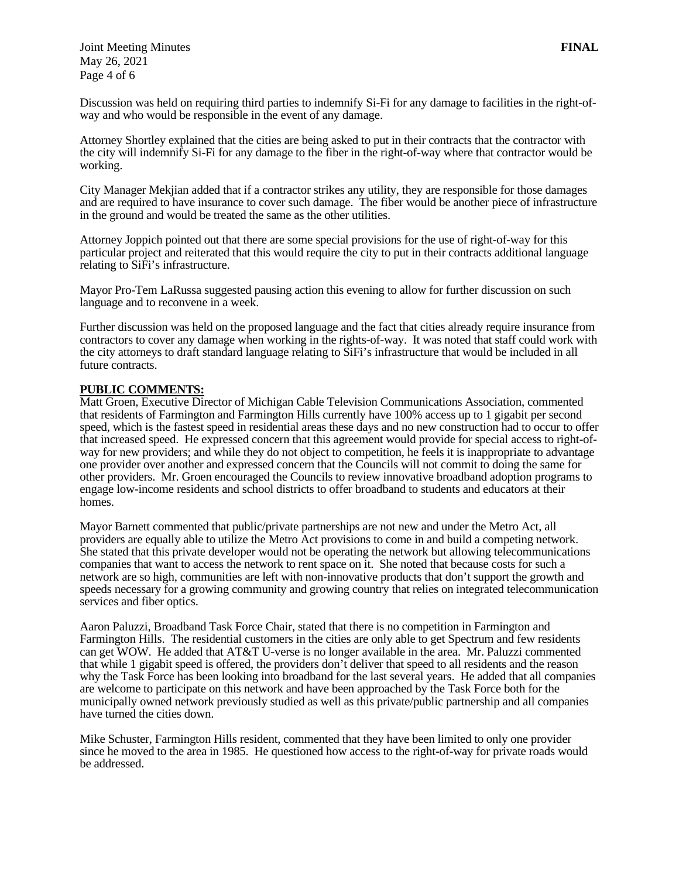Joint Meeting Minutes **FINAL** May 26, 2021 Page 4 of 6

Discussion was held on requiring third parties to indemnify Si-Fi for any damage to facilities in the right-ofway and who would be responsible in the event of any damage.

Attorney Shortley explained that the cities are being asked to put in their contracts that the contractor with the city will indemnify Si-Fi for any damage to the fiber in the right-of-way where that contractor would be working.

City Manager Mekjian added that if a contractor strikes any utility, they are responsible for those damages and are required to have insurance to cover such damage. The fiber would be another piece of infrastructure in the ground and would be treated the same as the other utilities.

Attorney Joppich pointed out that there are some special provisions for the use of right-of-way for this particular project and reiterated that this would require the city to put in their contracts additional language relating to SiFi's infrastructure.

Mayor Pro-Tem LaRussa suggested pausing action this evening to allow for further discussion on such language and to reconvene in a week.

Further discussion was held on the proposed language and the fact that cities already require insurance from contractors to cover any damage when working in the rights-of-way. It was noted that staff could work with the city attorneys to draft standard language relating to SiFi's infrastructure that would be included in all future contracts.

## **PUBLIC COMMENTS:**

Matt Groen, Executive Director of Michigan Cable Television Communications Association, commented that residents of Farmington and Farmington Hills currently have 100% access up to 1 gigabit per second speed, which is the fastest speed in residential areas these days and no new construction had to occur to offer that increased speed. He expressed concern that this agreement would provide for special access to right-ofway for new providers; and while they do not object to competition, he feels it is inappropriate to advantage one provider over another and expressed concern that the Councils will not commit to doing the same for other providers. Mr. Groen encouraged the Councils to review innovative broadband adoption programs to engage low-income residents and school districts to offer broadband to students and educators at their homes.

Mayor Barnett commented that public/private partnerships are not new and under the Metro Act, all providers are equally able to utilize the Metro Act provisions to come in and build a competing network. She stated that this private developer would not be operating the network but allowing telecommunications companies that want to access the network to rent space on it. She noted that because costs for such a network are so high, communities are left with non-innovative products that don't support the growth and speeds necessary for a growing community and growing country that relies on integrated telecommunication services and fiber optics.

Aaron Paluzzi, Broadband Task Force Chair, stated that there is no competition in Farmington and Farmington Hills. The residential customers in the cities are only able to get Spectrum and few residents can get WOW. He added that AT&T U-verse is no longer available in the area. Mr. Paluzzi commented that while 1 gigabit speed is offered, the providers don't deliver that speed to all residents and the reason why the Task Force has been looking into broadband for the last several years. He added that all companies are welcome to participate on this network and have been approached by the Task Force both for the municipally owned network previously studied as well as this private/public partnership and all companies have turned the cities down.

Mike Schuster, Farmington Hills resident, commented that they have been limited to only one provider since he moved to the area in 1985. He questioned how access to the right-of-way for private roads would be addressed.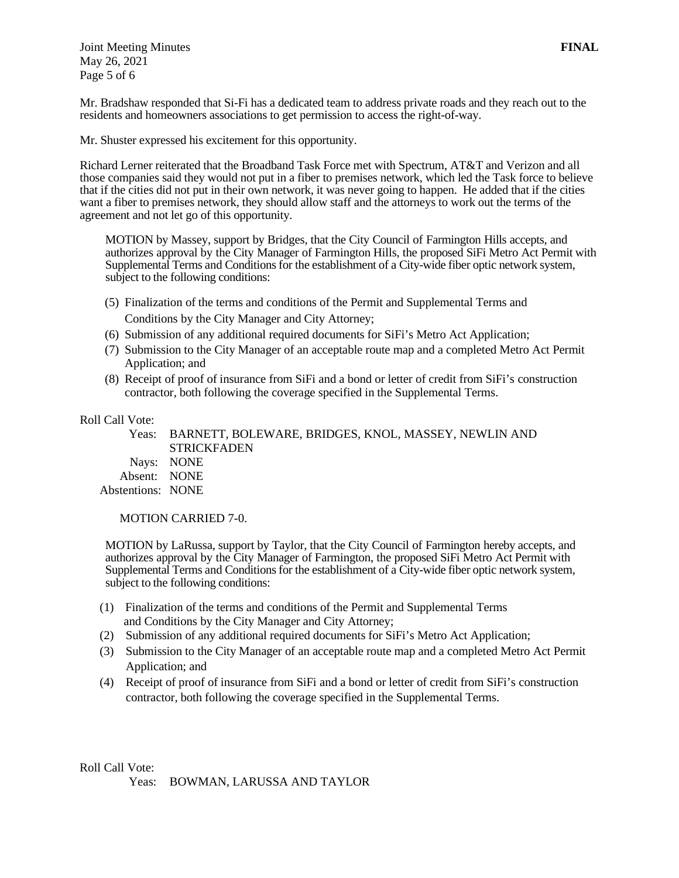Joint Meeting Minutes **FINAL** May 26, 2021 Page 5 of 6

Mr. Bradshaw responded that Si-Fi has a dedicated team to address private roads and they reach out to the residents and homeowners associations to get permission to access the right-of-way.

Mr. Shuster expressed his excitement for this opportunity.

Richard Lerner reiterated that the Broadband Task Force met with Spectrum, AT&T and Verizon and all those companies said they would not put in a fiber to premises network, which led the Task force to believe that if the cities did not put in their own network, it was never going to happen. He added that if the cities want a fiber to premises network, they should allow staff and the attorneys to work out the terms of the agreement and not let go of this opportunity.

MOTION by Massey, support by Bridges, that the City Council of Farmington Hills accepts, and authorizes approval by the City Manager of Farmington Hills, the proposed SiFi Metro Act Permit with Supplemental Terms and Conditions for the establishment of a City-wide fiber optic network system, subject to the following conditions:

- (5) Finalization of the terms and conditions of the Permit and Supplemental Terms and Conditions by the City Manager and City Attorney;
- (6) Submission of any additional required documents for SiFi's Metro Act Application;
- (7) Submission to the City Manager of an acceptable route map and a completed Metro Act Permit Application; and
- (8) Receipt of proof of insurance from SiFi and a bond or letter of credit from SiFi's construction contractor, both following the coverage specified in the Supplemental Terms.

## Roll Call Vote:

 Yeas: BARNETT, BOLEWARE, BRIDGES, KNOL, MASSEY, NEWLIN AND **STRICKFADEN** Nays: NONE Absent: NONE Abstentions: NONE

MOTION CARRIED 7-0.

MOTION by LaRussa, support by Taylor, that the City Council of Farmington hereby accepts, and authorizes approval by the City Manager of Farmington, the proposed SiFi Metro Act Permit with Supplemental Terms and Conditions for the establishment of a City-wide fiber optic network system, subject to the following conditions:

- (1) Finalization of the terms and conditions of the Permit and Supplemental Terms and Conditions by the City Manager and City Attorney;
- (2) Submission of any additional required documents for SiFi's Metro Act Application;
- (3) Submission to the City Manager of an acceptable route map and a completed Metro Act Permit Application; and
- (4) Receipt of proof of insurance from SiFi and a bond or letter of credit from SiFi's construction contractor, both following the coverage specified in the Supplemental Terms.

Roll Call Vote: Yeas: BOWMAN, LARUSSA AND TAYLOR